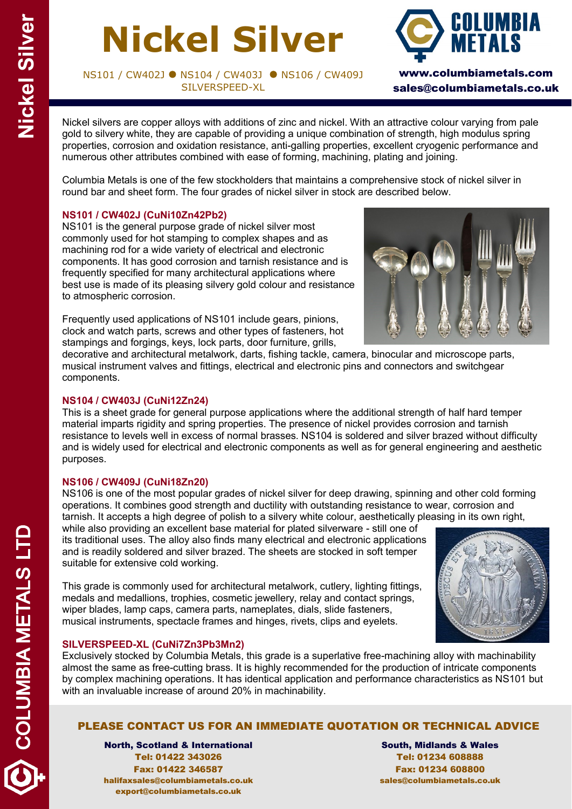# **Nickel Silver**

NS101 / CW402J ● NS104 / CW403J ● NS106 / CW409J SILVERSPEED-XL



sales@columbiametals.co.uk

Nickel silvers are copper alloys with additions of zinc and nickel. With an attractive colour varying from pale gold to silvery white, they are capable of providing a unique combination of strength, high modulus spring properties, corrosion and oxidation resistance, anti-galling properties, excellent cryogenic performance and numerous other attributes combined with ease of forming, machining, plating and joining.

Columbia Metals is one of the few stockholders that maintains a comprehensive stock of nickel silver in round bar and sheet form. The four grades of nickel silver in stock are described below.

### **NS101 / CW402J (CuNi10Zn42Pb2)**

NS101 is the general purpose grade of nickel silver most commonly used for hot stamping to complex shapes and as machining rod for a wide variety of electrical and electronic components. It has good corrosion and tarnish resistance and is frequently specified for many architectural applications where best use is made of its pleasing silvery gold colour and resistance to atmospheric corrosion.

Frequently used applications of NS101 include gears, pinions, clock and watch parts, screws and other types of fasteners, hot stampings and forgings, keys, lock parts, door furniture, grills,



decorative and architectural metalwork, darts, fishing tackle, camera, binocular and microscope parts, musical instrument valves and fittings, electrical and electronic pins and connectors and switchgear components.

### **NS104 / CW403J (CuNi12Zn24)**

This is a sheet grade for general purpose applications where the additional strength of half hard temper material imparts rigidity and spring properties. The presence of nickel provides corrosion and tarnish resistance to levels well in excess of normal brasses. NS104 is soldered and silver brazed without difficulty and is widely used for electrical and electronic components as well as for general engineering and aesthetic purposes.

#### **NS106 / CW409J (CuNi18Zn20)**

NS106 is one of the most popular grades of nickel silver for deep drawing, spinning and other cold forming operations. It combines good strength and ductility with outstanding resistance to wear, corrosion and tarnish. It accepts a high degree of polish to a silvery white colour, aesthetically pleasing in its own right,

while also providing an excellent base material for plated silverware - still one of its traditional uses. The alloy also finds many electrical and electronic applications and is readily soldered and silver brazed. The sheets are stocked in soft temper suitable for extensive cold working.

This grade is commonly used for architectural metalwork, cutlery, lighting fittings, medals and medallions, trophies, cosmetic jewellery, relay and contact springs, wiper blades, lamp caps, camera parts, nameplates, dials, slide fasteners, musical instruments, spectacle frames and hinges, rivets, clips and eyelets.



### **SILVERSPEED-XL (CuNi7Zn3Pb3Mn2)**

Exclusively stocked by Columbia Metals, this grade is a superlative free-machining alloy with machinability almost the same as free-cutting brass. It is highly recommended for the production of intricate components by complex machining operations. It has identical application and performance characteristics as NS101 but with an invaluable increase of around 20% in machinability.

### PLEASE CONTACT US FOR AN IMMEDIATE QUOTATION OR TECHNICAL ADVICE

North, Scotland & International Tel: 01422 343026 Fax: 01422 346587 halifaxsales@columbiametals.co.uk export@columbiametals.co.uk

South, Midlands & Wales Tel: 01234 608888 Fax: 01234 608800 sales@columbiametals.co.uk

COLUMBIA METALS LTD